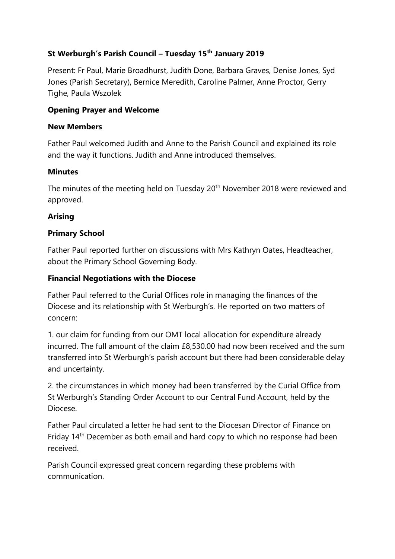# **St Werburgh's Parish Council – Tuesday 15th January 2019**

Present: Fr Paul, Marie Broadhurst, Judith Done, Barbara Graves, Denise Jones, Syd Jones (Parish Secretary), Bernice Meredith, Caroline Palmer, Anne Proctor, Gerry Tighe, Paula Wszolek

### **Opening Prayer and Welcome**

### **New Members**

Father Paul welcomed Judith and Anne to the Parish Council and explained its role and the way it functions. Judith and Anne introduced themselves.

### **Minutes**

The minutes of the meeting held on Tuesday 20<sup>th</sup> November 2018 were reviewed and approved.

# **Arising**

# **Primary School**

Father Paul reported further on discussions with Mrs Kathryn Oates, Headteacher, about the Primary School Governing Body.

# **Financial Negotiations with the Diocese**

Father Paul referred to the Curial Offices role in managing the finances of the Diocese and its relationship with St Werburgh's. He reported on two matters of concern:

1. our claim for funding from our OMT local allocation for expenditure already incurred. The full amount of the claim £8,530.00 had now been received and the sum transferred into St Werburgh's parish account but there had been considerable delay and uncertainty.

2. the circumstances in which money had been transferred by the Curial Office from St Werburgh's Standing Order Account to our Central Fund Account, held by the Diocese.

Father Paul circulated a letter he had sent to the Diocesan Director of Finance on Friday 14<sup>th</sup> December as both email and hard copy to which no response had been received.

Parish Council expressed great concern regarding these problems with communication.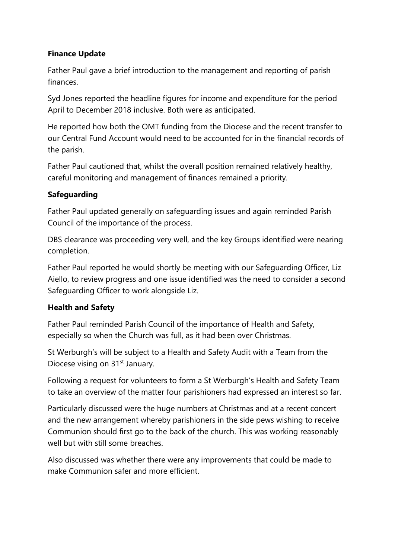# **Finance Update**

Father Paul gave a brief introduction to the management and reporting of parish finances.

Syd Jones reported the headline figures for income and expenditure for the period April to December 2018 inclusive. Both were as anticipated.

He reported how both the OMT funding from the Diocese and the recent transfer to our Central Fund Account would need to be accounted for in the financial records of the parish.

Father Paul cautioned that, whilst the overall position remained relatively healthy, careful monitoring and management of finances remained a priority.

# **Safeguarding**

Father Paul updated generally on safeguarding issues and again reminded Parish Council of the importance of the process.

DBS clearance was proceeding very well, and the key Groups identified were nearing completion.

Father Paul reported he would shortly be meeting with our Safeguarding Officer, Liz Aiello, to review progress and one issue identified was the need to consider a second Safeguarding Officer to work alongside Liz.

### **Health and Safety**

Father Paul reminded Parish Council of the importance of Health and Safety, especially so when the Church was full, as it had been over Christmas.

St Werburgh's will be subject to a Health and Safety Audit with a Team from the Diocese vising on 31<sup>st</sup> January.

Following a request for volunteers to form a St Werburgh's Health and Safety Team to take an overview of the matter four parishioners had expressed an interest so far.

Particularly discussed were the huge numbers at Christmas and at a recent concert and the new arrangement whereby parishioners in the side pews wishing to receive Communion should first go to the back of the church. This was working reasonably well but with still some breaches.

Also discussed was whether there were any improvements that could be made to make Communion safer and more efficient.